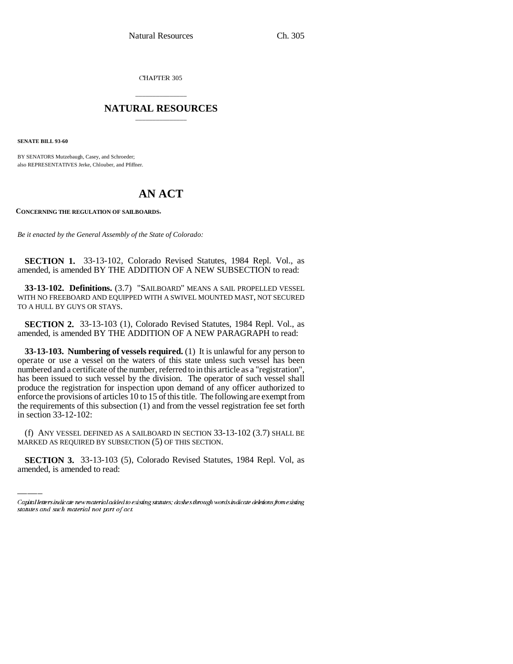CHAPTER 305

## \_\_\_\_\_\_\_\_\_\_\_\_\_\_\_ **NATURAL RESOURCES** \_\_\_\_\_\_\_\_\_\_\_\_\_\_\_

**SENATE BILL 93-60**

BY SENATORS Mutzebaugh, Casey, and Schroeder; also REPRESENTATIVES Jerke, Chlouber, and Pfiffner.

## **AN ACT**

**CONCERNING THE REGULATION OF SAILBOARDS.**

*Be it enacted by the General Assembly of the State of Colorado:*

**SECTION 1.** 33-13-102, Colorado Revised Statutes, 1984 Repl. Vol., as amended, is amended BY THE ADDITION OF A NEW SUBSECTION to read:

**33-13-102. Definitions.** (3.7) "SAILBOARD" MEANS A SAIL PROPELLED VESSEL WITH NO FREEBOARD AND EQUIPPED WITH A SWIVEL MOUNTED MAST, NOT SECURED TO A HULL BY GUYS OR STAYS.

**SECTION 2.** 33-13-103 (1), Colorado Revised Statutes, 1984 Repl. Vol., as amended, is amended BY THE ADDITION OF A NEW PARAGRAPH to read:

**33-13-103. Numbering of vessels required.** (1) It is unlawful for any person to operate or use a vessel on the waters of this state unless such vessel has been numbered and a certificate of the number, referred to in this article as a "registration", has been issued to such vessel by the division. The operator of such vessel shall produce the registration for inspection upon demand of any officer authorized to enforce the provisions of articles 10 to 15 of this title. The following are exempt from the requirements of this subsection (1) and from the vessel registration fee set forth in section 33-12-102:

(f) ANY VESSEL DEFINED AS A SAILBOARD IN SECTION 33-13-102 (3.7) SHALL BE MARKED AS REQUIRED BY SUBSECTION (5) OF THIS SECTION.

**SECTION 3.** 33-13-103 (5), Colorado Revised Statutes, 1984 Repl. Vol, as amended, is amended to read:

Capital letters indicate new material added to existing statutes; dashes through words indicate deletions from existing statutes and such material not part of act.